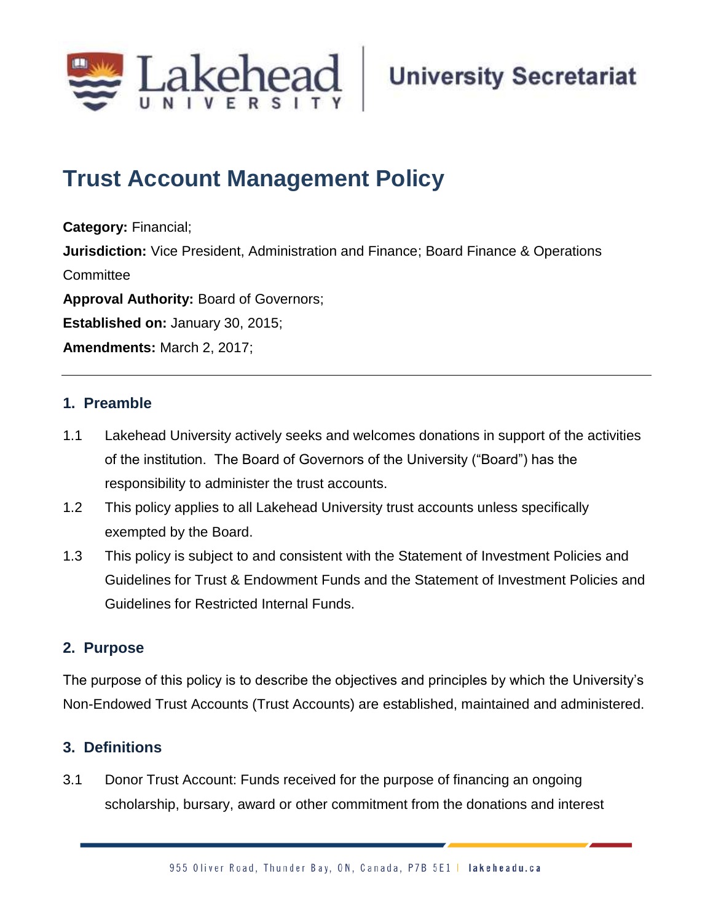

# **Trust Account Management Policy;;**

**Category:** Financial; **Jurisdiction:** Vice President, Administration and Finance; Board Finance & Operations **Committee Approval Authority:** Board of Governors; **Established on:** January 30, 2015; **Amendments:** March 2, 2017;

#### **1. Preamble**

- 1.1 Lakehead University actively seeks and welcomes donations in support of the activities of the institution. The Board of Governors of the University ("Board") has the responsibility to administer the trust accounts.
- 1.2 This policy applies to all Lakehead University trust accounts unless specifically exempted by the Board.
- 1.3 This policy is subject to and consistent with the Statement of Investment Policies and Guidelines for Trust & Endowment Funds and the Statement of Investment Policies and Guidelines for Restricted Internal Funds.

#### **2. Purpose**

The purpose of this policy is to describe the objectives and principles by which the University's Non-Endowed Trust Accounts (Trust Accounts) are established, maintained and administered.

# **3. Definitions**

3.1 Donor Trust Account: Funds received for the purpose of financing an ongoing scholarship, bursary, award or other commitment from the donations and interest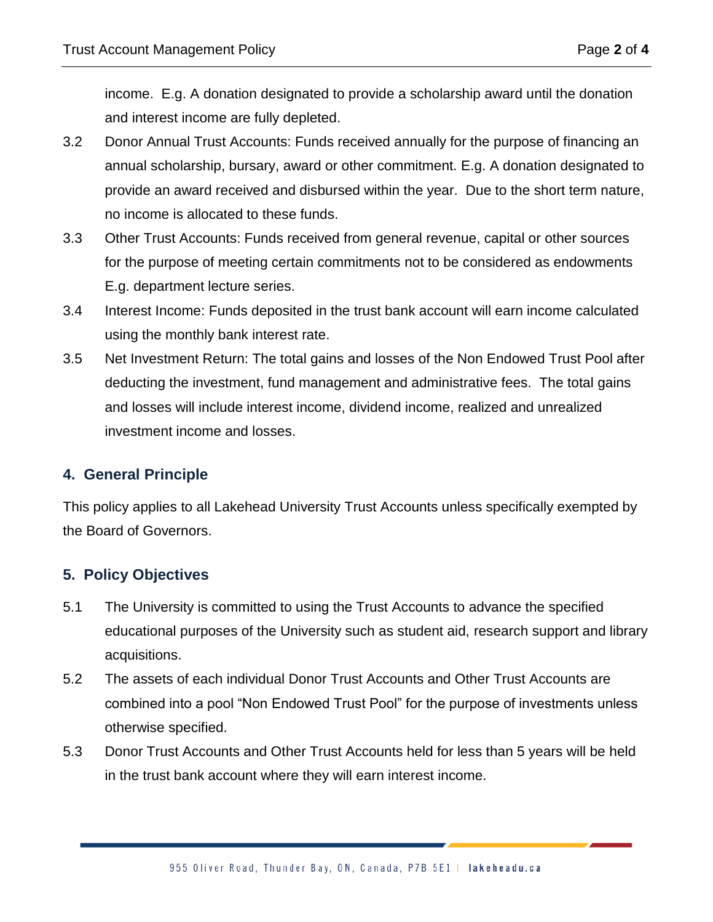income. E.g. A donation designated to provide a scholarship award until the donation and interest income are fully depleted.

- 3.2 Donor Annual Trust Accounts: Funds received annually for the purpose of financing an annual scholarship, bursary, award or other commitment. E.g. A donation designated to provide an award received and disbursed within the year. Due to the short term nature, no income is allocated to these funds.
- 3.3 Other Trust Accounts: Funds received from general revenue, capital or other sources for the purpose of meeting certain commitments not to be considered as endowments E.g. department lecture series.
- 3.4 Interest Income: Funds deposited in the trust bank account will earn income calculated using the monthly bank interest rate.
- 3.5 Net Investment Return: The total gains and losses of the Non Endowed Trust Pool after deducting the investment, fund management and administrative fees. The total gains and losses will include interest income, dividend income, realized and unrealized investment income and losses.

# **4. General Principle**

This policy applies to all Lakehead University Trust Accounts unless specifically exempted by the Board of Governors.

# **5. Policy Objectives**

- 5.1 The University is committed to using the Trust Accounts to advance the specified educational purposes of the University such as student aid, research support and library acquisitions.
- 5.2 The assets of each individual Donor Trust Accounts and Other Trust Accounts are combined into a pool "Non Endowed Trust Pool" for the purpose of investments unless otherwise specified.
- 5.3 Donor Trust Accounts and Other Trust Accounts held for less than 5 years will be held in the trust bank account where they will earn interest income.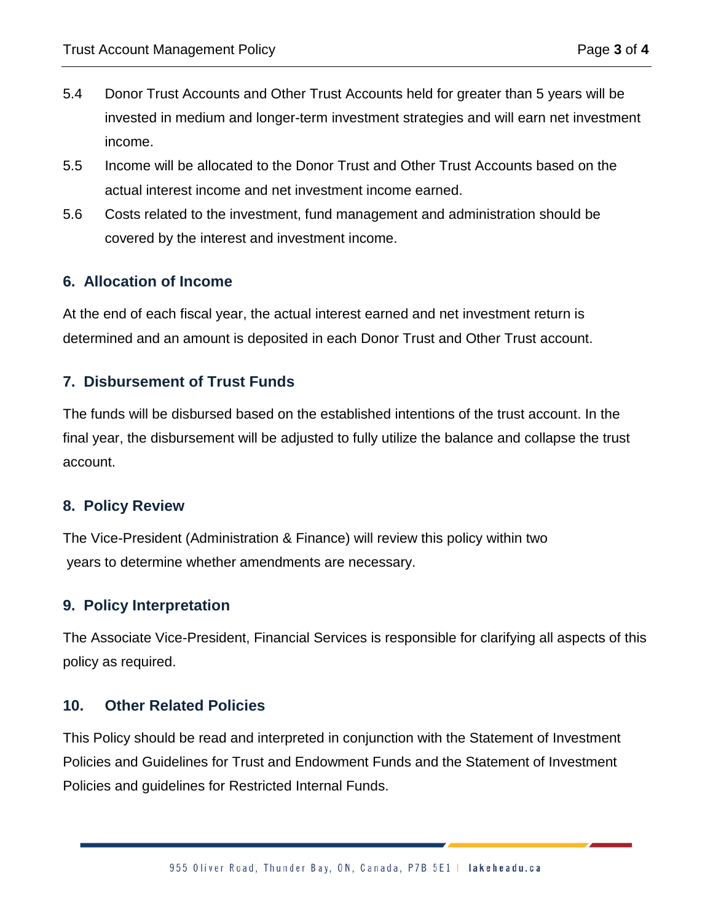- 5.4 Donor Trust Accounts and Other Trust Accounts held for greater than 5 years will be invested in medium and longer-term investment strategies and will earn net investment income.
- 5.5 Income will be allocated to the Donor Trust and Other Trust Accounts based on the actual interest income and net investment income earned.
- 5.6 Costs related to the investment, fund management and administration should be covered by the interest and investment income.

#### **6. Allocation of Income**

At the end of each fiscal year, the actual interest earned and net investment return is determined and an amount is deposited in each Donor Trust and Other Trust account.

#### **7. Disbursement of Trust Funds**

The funds will be disbursed based on the established intentions of the trust account. In the final year, the disbursement will be adjusted to fully utilize the balance and collapse the trust account.

#### **8. Policy Review**

The Vice-President (Administration & Finance) will review this policy within two years to determine whether amendments are necessary.

#### **9. Policy Interpretation**

The Associate Vice-President, Financial Services is responsible for clarifying all aspects of this policy as required.

#### **10. Other Related Policies**

This Policy should be read and interpreted in conjunction with the Statement of Investment Policies and Guidelines for Trust and Endowment Funds and the Statement of Investment Policies and guidelines for Restricted Internal Funds.